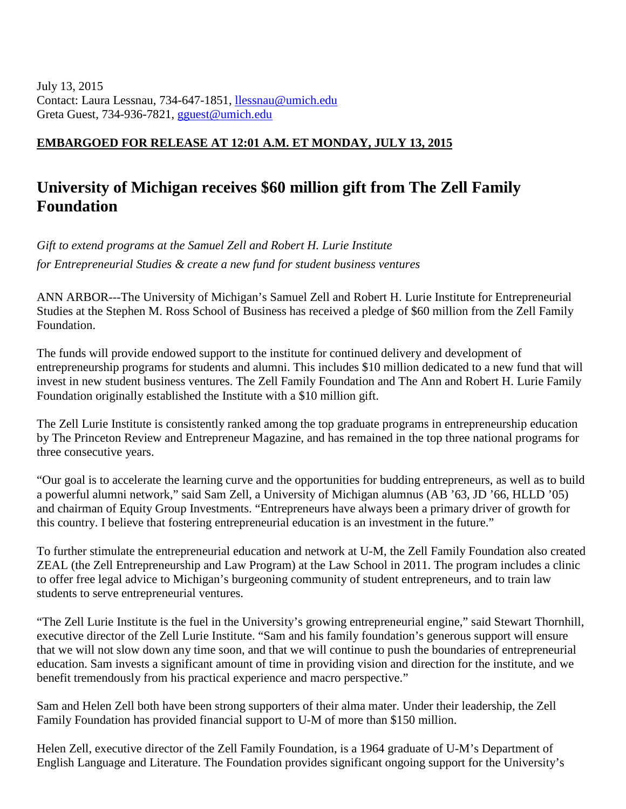July 13, 2015 Contact: Laura Lessnau, 734-647-1851, [llessnau@umich.edu](mailto:llessnau@umich.edu) Greta Guest, 734-936-7821, [gguest@umich.edu](mailto:gguest@umich.edu)

## **EMBARGOED FOR RELEASE AT 12:01 A.M. ET MONDAY, JULY 13, 2015**

## **University of Michigan receives \$60 million gift from The Zell Family Foundation**

*Gift to extend programs at the Samuel Zell and Robert H. Lurie Institute for Entrepreneurial Studies & create a new fund for student business ventures*

ANN ARBOR---The University of Michigan's Samuel Zell and Robert H. Lurie Institute for Entrepreneurial Studies at the Stephen M. Ross School of Business has received a pledge of \$60 million from the Zell Family Foundation.

The funds will provide endowed support to the institute for continued delivery and development of entrepreneurship programs for students and alumni. This includes \$10 million dedicated to a new fund that will invest in new student business ventures. The Zell Family Foundation and The Ann and Robert H. Lurie Family Foundation originally established the Institute with a \$10 million gift.

The Zell Lurie Institute is consistently ranked among the top graduate programs in entrepreneurship education by The Princeton Review and Entrepreneur Magazine, and has remained in the top three national programs for three consecutive years.

"Our goal is to accelerate the learning curve and the opportunities for budding entrepreneurs, as well as to build a powerful alumni network," said Sam Zell, a University of Michigan alumnus (AB '63, JD '66, HLLD '05) and chairman of Equity Group Investments. "Entrepreneurs have always been a primary driver of growth for this country. I believe that fostering entrepreneurial education is an investment in the future."

To further stimulate the entrepreneurial education and network at U-M, the Zell Family Foundation also created ZEAL (the Zell Entrepreneurship and Law Program) at the Law School in 2011. The program includes a clinic to offer free legal advice to Michigan's burgeoning community of student entrepreneurs, and to train law students to serve entrepreneurial ventures.

"The Zell Lurie Institute is the fuel in the University's growing entrepreneurial engine," said Stewart Thornhill, executive director of the Zell Lurie Institute. "Sam and his family foundation's generous support will ensure that we will not slow down any time soon, and that we will continue to push the boundaries of entrepreneurial education. Sam invests a significant amount of time in providing vision and direction for the institute, and we benefit tremendously from his practical experience and macro perspective."

Sam and Helen Zell both have been strong supporters of their alma mater. Under their leadership, the Zell Family Foundation has provided financial support to U-M of more than \$150 million.

Helen Zell, executive director of the Zell Family Foundation, is a 1964 graduate of U-M's Department of English Language and Literature. The Foundation provides significant ongoing support for the University's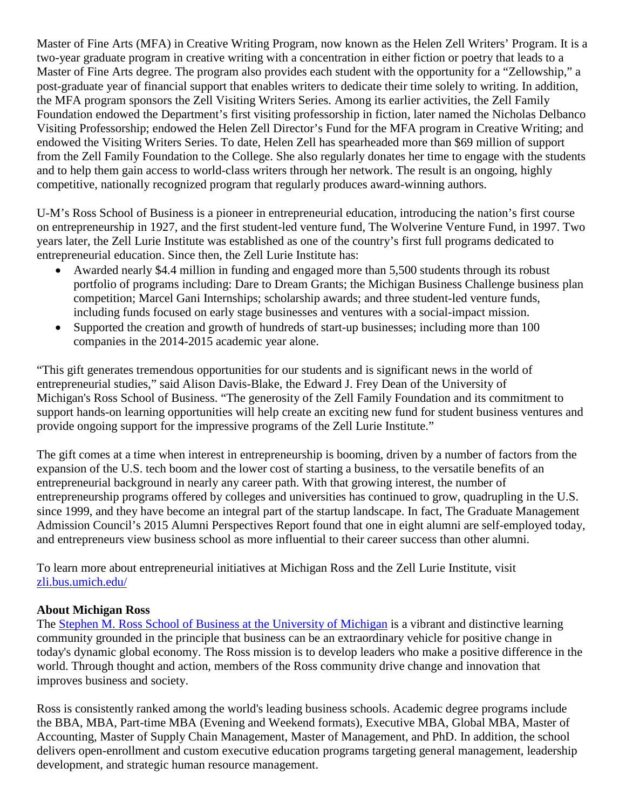Master of Fine Arts (MFA) in Creative Writing Program, now known as the Helen Zell Writers' Program. It is a two-year graduate program in creative writing with a concentration in either fiction or poetry that leads to a Master of Fine Arts degree. The program also provides each student with the opportunity for a "Zellowship," a post-graduate year of financial support that enables writers to dedicate their time solely to writing. In addition, the MFA program sponsors the Zell Visiting Writers Series. Among its earlier activities, the Zell Family Foundation endowed the Department's first visiting professorship in fiction, later named the Nicholas Delbanco Visiting Professorship; endowed the Helen Zell Director's Fund for the MFA program in Creative Writing; and endowed the Visiting Writers Series. To date, Helen Zell has spearheaded more than \$69 million of support from the Zell Family Foundation to the College. She also regularly donates her time to engage with the students and to help them gain access to world-class writers through her network. The result is an ongoing, highly competitive, nationally recognized program that regularly produces award-winning authors.

U-M's Ross School of Business is a pioneer in entrepreneurial education, introducing the nation's first course on entrepreneurship in 1927, and the first student-led venture fund, The Wolverine Venture Fund, in 1997. Two years later, the Zell Lurie Institute was established as one of the country's first full programs dedicated to entrepreneurial education. Since then, the Zell Lurie Institute has:

- Awarded nearly \$4.4 million in funding and engaged more than 5,500 students through its robust portfolio of programs including: Dare to Dream Grants; the Michigan Business Challenge business plan competition; Marcel Gani Internships; scholarship awards; and three student-led venture funds, including funds focused on early stage businesses and ventures with a social-impact mission.
- Supported the creation and growth of hundreds of start-up businesses; including more than 100 companies in the 2014-2015 academic year alone.

"This gift generates tremendous opportunities for our students and is significant news in the world of entrepreneurial studies," said Alison Davis-Blake, the Edward J. Frey Dean of the University of Michigan's Ross School of Business. "The generosity of the Zell Family Foundation and its commitment to support hands-on learning opportunities will help create an exciting new fund for student business ventures and provide ongoing support for the impressive programs of the Zell Lurie Institute."

The gift comes at a time when interest in entrepreneurship is booming, driven by a number of factors from the expansion of the U.S. tech boom and the lower cost of starting a business, to the versatile benefits of an entrepreneurial background in nearly any career path. With that growing interest, the number of entrepreneurship programs offered by colleges and universities has continued to grow, quadrupling in the U.S. since 1999, and they have become an integral part of the startup landscape. In fact, The Graduate Management Admission Council's 2015 Alumni Perspectives Report found that one in eight alumni are self-employed today, and entrepreneurs view business school as more influential to their career success than other alumni.

To learn more about entrepreneurial initiatives at Michigan Ross and the Zell Lurie Institute, visit [zli.bus.umich.edu/](http://www.zli.bus.umich.edu/)

## **About Michigan Ross**

The [Stephen M. Ross School of Business at the University of Michigan](http://michiganross.umich.edu/) is a vibrant and distinctive learning community grounded in the principle that business can be an extraordinary vehicle for positive change in today's dynamic global economy. The Ross mission is to develop leaders who make a positive difference in the world. Through thought and action, members of the Ross community drive change and innovation that improves business and society.

Ross is consistently ranked among the world's leading business schools. Academic degree programs include the BBA, MBA, Part-time MBA (Evening and Weekend formats), Executive MBA, Global MBA, Master of Accounting, Master of Supply Chain Management, Master of Management, and PhD. In addition, the school delivers open-enrollment and custom executive education programs targeting general management, leadership development, and strategic human resource management.